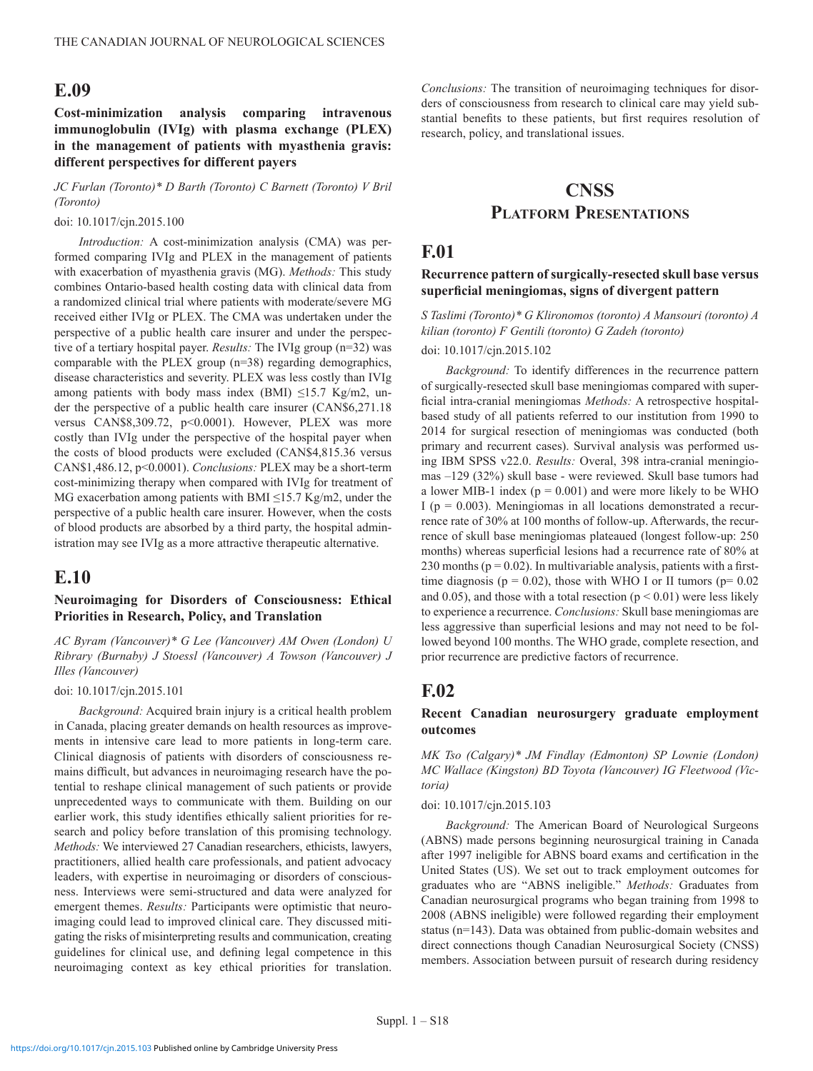## **E.09**

**Cost-minimization analysis comparing intravenous immunoglobulin (IVIg) with plasma exchange (PLEX) in the management of patients with myasthenia gravis: different perspectives for different payers**

*JC Furlan (Toronto)\* D Barth (Toronto) C Barnett (Toronto) V Bril (Toronto)*

#### doi: 10.1017/cjn.2015.100

*Introduction:* A cost-minimization analysis (CMA) was performed comparing IVIg and PLEX in the management of patients with exacerbation of myasthenia gravis (MG). *Methods:* This study combines Ontario-based health costing data with clinical data from a randomized clinical trial where patients with moderate/severe MG received either IVIg or PLEX. The CMA was undertaken under the perspective of a public health care insurer and under the perspective of a tertiary hospital payer. *Results:* The IVIg group (n=32) was comparable with the PLEX group (n=38) regarding demographics, disease characteristics and severity. PLEX was less costly than IVIg among patients with body mass index (BMI)  $\leq 15.7$  Kg/m2, under the perspective of a public health care insurer (CAN\$6,271.18 versus CAN\$8,309.72, p<0.0001). However, PLEX was more costly than IVIg under the perspective of the hospital payer when the costs of blood products were excluded (CAN\$4,815.36 versus CAN\$1,486.12, p<0.0001). *Conclusions:* PLEX may be a short-term cost-minimizing therapy when compared with IVIg for treatment of MG exacerbation among patients with BMI  $\leq$ 15.7 Kg/m2, under the perspective of a public health care insurer. However, when the costs of blood products are absorbed by a third party, the hospital administration may see IVIg as a more attractive therapeutic alternative.

## **E.10**

### **Neuroimaging for Disorders of Consciousness: Ethical Priorities in Research, Policy, and Translation**

*AC Byram (Vancouver)\* G Lee (Vancouver) AM Owen (London) U Ribrary (Burnaby) J Stoessl (Vancouver) A Towson (Vancouver) J Illes (Vancouver)*

#### doi: 10.1017/cjn.2015.101

*Background:* Acquired brain injury is a critical health problem in Canada, placing greater demands on health resources as improvements in intensive care lead to more patients in long-term care. Clinical diagnosis of patients with disorders of consciousness remains difficult, but advances in neuroimaging research have the potential to reshape clinical management of such patients or provide unprecedented ways to communicate with them. Building on our earlier work, this study identifies ethically salient priorities for research and policy before translation of this promising technology. *Methods:* We interviewed 27 Canadian researchers, ethicists, lawyers, practitioners, allied health care professionals, and patient advocacy leaders, with expertise in neuroimaging or disorders of consciousness. Interviews were semi-structured and data were analyzed for emergent themes. *Results:* Participants were optimistic that neuroimaging could lead to improved clinical care. They discussed mitigating the risks of misinterpreting results and communication, creating guidelines for clinical use, and defining legal competence in this neuroimaging context as key ethical priorities for translation.

*Conclusions:* The transition of neuroimaging techniques for disorders of consciousness from research to clinical care may yield substantial benefits to these patients, but first requires resolution of research, policy, and translational issues.

# **CNSS Platform Presentations**

## **F.01**

## **Recurrence pattern of surgically-resected skull base versus superficial meningiomas, signs of divergent pattern**

*S Taslimi (Toronto)\* G Klironomos (toronto) A Mansouri (toronto) A kilian (toronto) F Gentili (toronto) G Zadeh (toronto)*

#### doi: 10.1017/cjn.2015.102

*Background:* To identify differences in the recurrence pattern of surgically-resected skull base meningiomas compared with superficial intra-cranial meningiomas *Methods:* A retrospective hospitalbased study of all patients referred to our institution from 1990 to 2014 for surgical resection of meningiomas was conducted (both primary and recurrent cases). Survival analysis was performed using IBM SPSS v22.0. *Results:* Overal, 398 intra-cranial meningiomas –129 (32%) skull base - were reviewed. Skull base tumors had a lower MIB-1 index ( $p = 0.001$ ) and were more likely to be WHO I ( $p = 0.003$ ). Meningiomas in all locations demonstrated a recurrence rate of 30% at 100 months of follow-up. Afterwards, the recurrence of skull base meningiomas plateaued (longest follow-up: 250 months) whereas superficial lesions had a recurrence rate of 80% at 230 months ( $p = 0.02$ ). In multivariable analysis, patients with a firsttime diagnosis ( $p = 0.02$ ), those with WHO I or II tumors ( $p = 0.02$ ) and 0.05), and those with a total resection ( $p < 0.01$ ) were less likely to experience a recurrence. *Conclusions:* Skull base meningiomas are less aggressive than superficial lesions and may not need to be followed beyond 100 months. The WHO grade, complete resection, and prior recurrence are predictive factors of recurrence.

## **F.02**

#### **Recent Canadian neurosurgery graduate employment outcomes**

*MK Tso (Calgary)\* JM Findlay (Edmonton) SP Lownie (London) MC Wallace (Kingston) BD Toyota (Vancouver) IG Fleetwood (Victoria)*

#### doi: 10.1017/cjn.2015.103

*Background:* The American Board of Neurological Surgeons (ABNS) made persons beginning neurosurgical training in Canada after 1997 ineligible for ABNS board exams and certification in the United States (US). We set out to track employment outcomes for graduates who are "ABNS ineligible." *Methods:* Graduates from Canadian neurosurgical programs who began training from 1998 to 2008 (ABNS ineligible) were followed regarding their employment status (n=143). Data was obtained from public-domain websites and direct connections though Canadian Neurosurgical Society (CNSS) members. Association between pursuit of research during residency